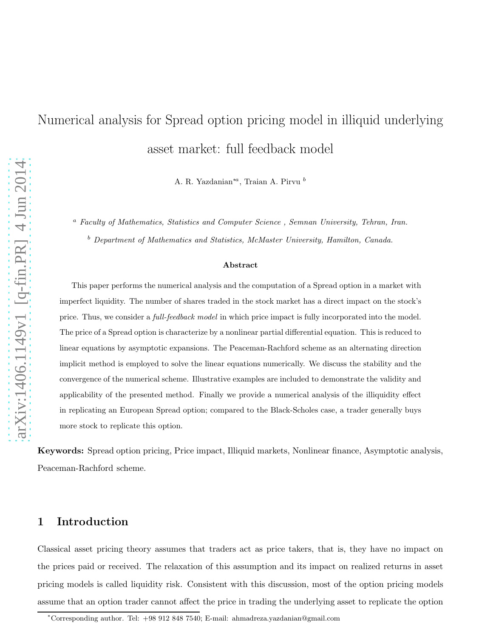# Numerical analysis for Spread option pricing model in illiquid underlying asset market: full feedback model

A. R. Yazdanian<sup>∗a</sup>, Traian A. Pirvu $^b$ 

<sup>a</sup> Faculty of Mathematics, Statistics and Computer Science , Semnan University, Tehran, Iran.

<sup>b</sup> Department of Mathematics and Statistics, McMaster University, Hamilton, Canada.

#### Abstract

This paper performs the numerical analysis and the computation of a Spread option in a market with imperfect liquidity. The number of shares traded in the stock market has a direct impact on the stock's price. Thus, we consider a *full-feedback model* in which price impact is fully incorporated into the model. The price of a Spread option is characterize by a nonlinear partial differential equation. This is reduced to linear equations by asymptotic expansions. The Peaceman-Rachford scheme as an alternating direction implicit method is employed to solve the linear equations numerically. We discuss the stability and the convergence of the numerical scheme. Illustrative examples are included to demonstrate the validity and applicability of the presented method. Finally we provide a numerical analysis of the illiquidity effect in replicating an European Spread option; compared to the Black-Scholes case, a trader generally buys more stock to replicate this option.

Keywords: Spread option pricing, Price impact, Illiquid markets, Nonlinear finance, Asymptotic analysis, Peaceman-Rachford scheme.

#### <span id="page-0-0"></span>1 Introduction

Classical asset pricing theory assumes that traders act as price takers, that is, they have no impact on the prices paid or received. The relaxation of this assumption and its impact on realized returns in asset pricing models is called liquidity risk. Consistent with this discussion, most of the option pricing models assume that an option trader cannot affect the price in trading the underlying asset to replicate the option

<sup>∗</sup>Corresponding author. Tel: +98 912 848 7540; E-mail: ahmadreza.yazdanian@gmail.com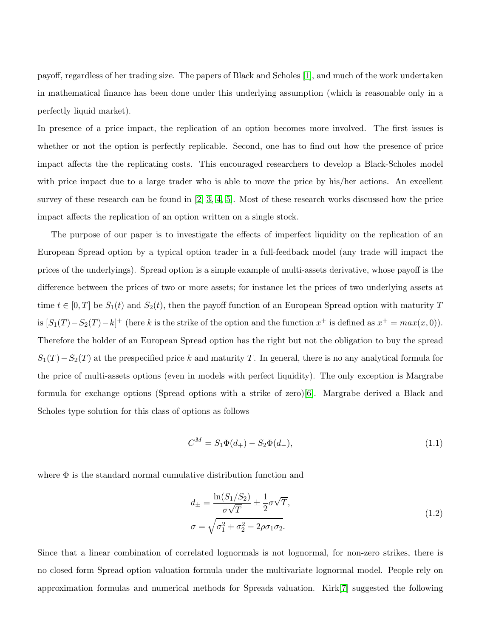payoff, regardless of her trading size. The papers of Black and Scholes [\[1\]](#page-18-0), and much of the work undertaken in mathematical finance has been done under this underlying assumption (which is reasonable only in a perfectly liquid market).

In presence of a price impact, the replication of an option becomes more involved. The first issues is whether or not the option is perfectly replicable. Second, one has to find out how the presence of price impact affects the the replicating costs. This encouraged researchers to develop a Black-Scholes model with price impact due to a large trader who is able to move the price by his/her actions. An excellent survey of these research can be found in [\[2,](#page-18-1) [3,](#page-18-2) [4,](#page-18-3) [5\]](#page-18-4). Most of these research works discussed how the price impact affects the replication of an option written on a single stock.

The purpose of our paper is to investigate the effects of imperfect liquidity on the replication of an European Spread option by a typical option trader in a full-feedback model (any trade will impact the prices of the underlyings). Spread option is a simple example of multi-assets derivative, whose payoff is the difference between the prices of two or more assets; for instance let the prices of two underlying assets at time  $t \in [0, T]$  be  $S_1(t)$  and  $S_2(t)$ , then the payoff function of an European Spread option with maturity T is  $[S_1(T) - S_2(T) - k]^+$  (here k is the strike of the option and the function  $x^+$  is defined as  $x^+ = max(x, 0)$ ). Therefore the holder of an European Spread option has the right but not the obligation to buy the spread  $S_1(T) - S_2(T)$  at the prespecified price k and maturity T. In general, there is no any analytical formula for the price of multi-assets options (even in models with perfect liquidity). The only exception is Margrabe formula for exchange options (Spread options with a strike of zero)[\[6\]](#page-18-5). Margrabe derived a Black and Scholes type solution for this class of options as follows

$$
C^{M} = S_{1}\Phi(d_{+}) - S_{2}\Phi(d_{-}), \qquad (1.1)
$$

where  $\Phi$  is the standard normal cumulative distribution function and

$$
d_{\pm} = \frac{\ln(S_1/S_2)}{\sigma\sqrt{T}} \pm \frac{1}{2}\sigma\sqrt{T},
$$
  
\n
$$
\sigma = \sqrt{\sigma_1^2 + \sigma_2^2 - 2\rho\sigma_1\sigma_2}.
$$
\n(1.2)

Since that a linear combination of correlated lognormals is not lognormal, for non-zero strikes, there is no closed form Spread option valuation formula under the multivariate lognormal model. People rely on approximation formulas and numerical methods for Spreads valuation. Kirk[\[7\]](#page-18-6) suggested the following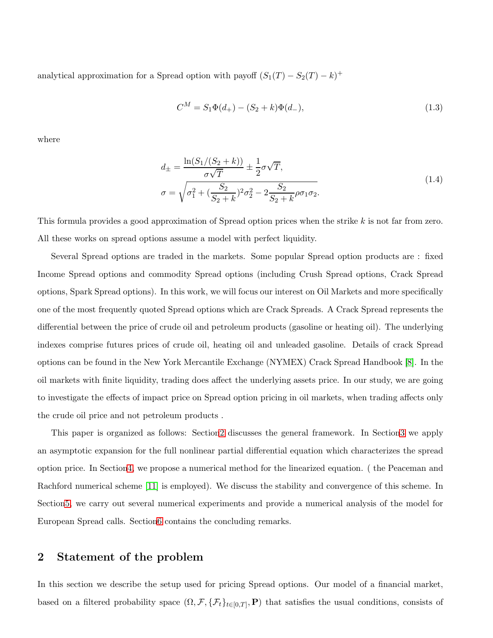analytical approximation for a Spread option with payoff  $(S_1(T) - S_2(T) - k)^+$ 

$$
C^{M} = S_{1}\Phi(d_{+}) - (S_{2} + k)\Phi(d_{-}),
$$
\n(1.3)

where

$$
d_{\pm} = \frac{\ln(S_1/(S_2 + k))}{\sigma\sqrt{T}} \pm \frac{1}{2}\sigma\sqrt{T},
$$
  
\n
$$
\sigma = \sqrt{\sigma_1^2 + (\frac{S_2}{S_2 + k})^2\sigma_2^2 - 2\frac{S_2}{S_2 + k}\rho\sigma_1\sigma_2}.
$$
\n(1.4)

This formula provides a good approximation of Spread option prices when the strike k is not far from zero. All these works on spread options assume a model with perfect liquidity.

Several Spread options are traded in the markets. Some popular Spread option products are : fixed Income Spread options and commodity Spread options (including Crush Spread options, Crack Spread options, Spark Spread options). In this work, we will focus our interest on Oil Markets and more specifically one of the most frequently quoted Spread options which are Crack Spreads. A Crack Spread represents the differential between the price of crude oil and petroleum products (gasoline or heating oil). The underlying indexes comprise futures prices of crude oil, heating oil and unleaded gasoline. Details of crack Spread options can be found in the New York Mercantile Exchange (NYMEX) Crack Spread Handbook [\[8\]](#page-18-7). In the oil markets with finite liquidity, trading does affect the underlying assets price. In our study, we are going to investigate the effects of impact price on Spread option pricing in oil markets, when trading affects only the crude oil price and not petroleum products .

This paper is organized as follows: Sectio[n2](#page-2-0) discusses the general framework. In Sectio[n3](#page-4-0) we apply an asymptotic expansion for the full nonlinear partial differential equation which characterizes the spread option price. In Sectio[n4,](#page-5-0) we propose a numerical method for the linearized equation. ( the Peaceman and Rachford numerical scheme [\[11\]](#page-18-8) is employed). We discuss the stability and convergence of this scheme. In Sectio[n5,](#page-13-0) we carry out several numerical experiments and provide a numerical analysis of the model for European Spread calls. Sectio[n6](#page-17-0) contains the concluding remarks.

### <span id="page-2-0"></span>2 Statement of the problem

In this section we describe the setup used for pricing Spread options. Our model of a financial market, based on a filtered probability space  $(0, \mathcal{F}, \{\mathcal{F}_t\}_{t\in[0,T]}, \mathbf{P})$  that satisfies the usual conditions, consists of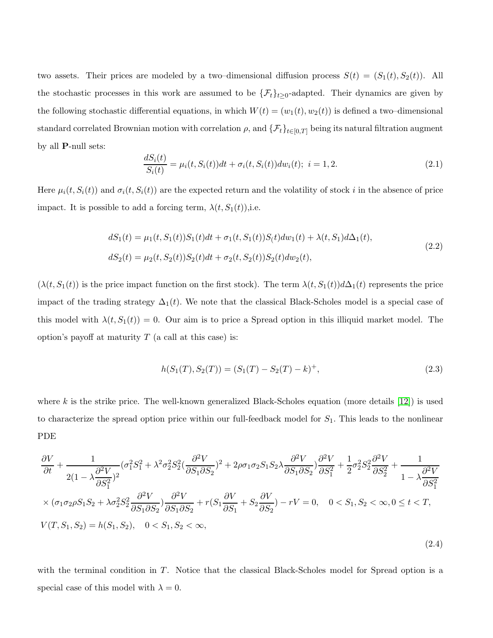two assets. Their prices are modeled by a two–dimensional diffusion process  $S(t) = (S_1(t), S_2(t))$ . All the stochastic processes in this work are assumed to be  $\{\mathcal{F}_t\}_{t\geq 0}$ -adapted. Their dynamics are given by the following stochastic differential equations, in which  $W(t) = (w_1(t), w_2(t))$  is defined a two-dimensional standard correlated Brownian motion with correlation  $\rho$ , and  $\{\mathcal{F}_t\}_{t\in[0,T]}$  being its natural filtration augment by all P-null sets:

$$
\frac{dS_i(t)}{S_i(t)} = \mu_i(t, S_i(t))dt + \sigma_i(t, S_i(t))dw_i(t); \quad i = 1, 2.
$$
\n(2.1)

Here  $\mu_i(t, S_i(t))$  and  $\sigma_i(t, S_i(t))$  are the expected return and the volatility of stock i in the absence of price impact. It is possible to add a forcing term,  $\lambda(t, S_1(t))$ , i.e.

$$
dS_1(t) = \mu_1(t, S_1(t))S_1(t)dt + \sigma_1(t, S_1(t))S_1(t)dw_1(t) + \lambda(t, S_1)d\Delta_1(t),
$$
  
\n
$$
dS_2(t) = \mu_2(t, S_2(t))S_2(t)dt + \sigma_2(t, S_2(t))S_2(t)dw_2(t),
$$
\n(2.2)

 $(\lambda(t, S_1(t))$  is the price impact function on the first stock). The term  $\lambda(t, S_1(t))d\Delta_1(t)$  represents the price impact of the trading strategy  $\Delta_1(t)$ . We note that the classical Black-Scholes model is a special case of this model with  $\lambda(t, S_1(t)) = 0$ . Our aim is to price a Spread option in this illiquid market model. The option's payoff at maturity  $T$  (a call at this case) is:

$$
h(S_1(T), S_2(T)) = (S_1(T) - S_2(T) - k)^+, \tag{2.3}
$$

where k is the strike price. The well-known generalized Black-Scholes equation (more details  $(12)$ ) is used to characterize the spread option price within our full-feedback model for  $S_1$ . This leads to the nonlinear PDE

<span id="page-3-0"></span>
$$
\frac{\partial V}{\partial t} + \frac{1}{2(1 - \lambda \frac{\partial^2 V}{\partial S_1^2})^2} (\sigma_1^2 S_1^2 + \lambda^2 \sigma_2^2 S_2^2 (\frac{\partial^2 V}{\partial S_1 \partial S_2})^2 + 2\rho \sigma_1 \sigma_2 S_1 S_2 \lambda \frac{\partial^2 V}{\partial S_1 \partial S_2}) \frac{\partial^2 V}{\partial S_1^2} + \frac{1}{2} \sigma_2^2 S_2^2 \frac{\partial^2 V}{\partial S_2^2} + \frac{1}{1 - \lambda \frac{\partial^2 V}{\partial S_1^2}} \times (\sigma_1 \sigma_2 \rho S_1 S_2 + \lambda \sigma_2^2 S_2^2 \frac{\partial^2 V}{\partial S_1 \partial S_2}) \frac{\partial^2 V}{\partial S_1 \partial S_2} + r(S_1 \frac{\partial V}{\partial S_1} + S_2 \frac{\partial V}{\partial S_2}) - rV = 0, \quad 0 < S_1, S_2 < \infty, 0 \le t < T,
$$
\n
$$
V(T, S_1, S_2) = h(S_1, S_2), \quad 0 < S_1, S_2 < \infty,
$$
\n
$$
(2.4)
$$

with the terminal condition in T. Notice that the classical Black-Scholes model for Spread option is a special case of this model with  $\lambda = 0$ .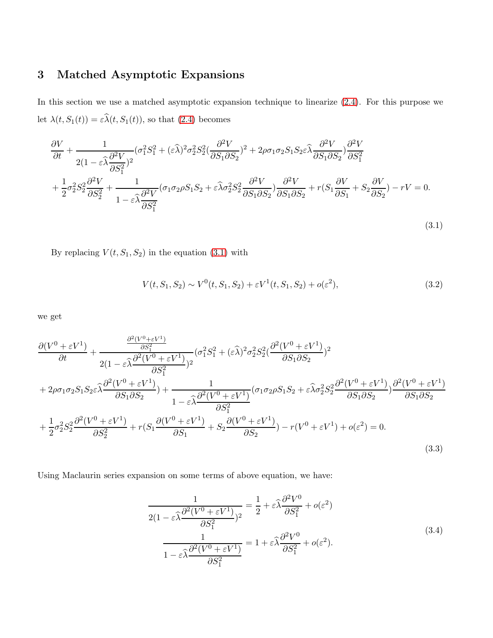## <span id="page-4-0"></span>3 Matched Asymptotic Expansions

In this section we use a matched asymptotic expansion technique to linearize [\(2.4\)](#page-3-0). For this purpose we let  $\lambda(t, S_1(t)) = \varepsilon \widehat{\lambda}(t, S_1(t))$ , so that [\(2.4\)](#page-3-0) becomes

$$
\frac{\partial V}{\partial t} + \frac{1}{2(1 - \varepsilon \widehat{\lambda} \frac{\partial^2 V}{\partial S_1^2})^2} (\sigma_1^2 S_1^2 + (\varepsilon \widehat{\lambda})^2 \sigma_2^2 S_2^2 (\frac{\partial^2 V}{\partial S_1 \partial S_2})^2 + 2\rho \sigma_1 \sigma_2 S_1 S_2 \varepsilon \widehat{\lambda} \frac{\partial^2 V}{\partial S_1 \partial S_2}) \frac{\partial^2 V}{\partial S_1^2} \n+ \frac{1}{2} \sigma_2^2 S_2^2 \frac{\partial^2 V}{\partial S_2^2} + \frac{1}{1 - \varepsilon \widehat{\lambda} \frac{\partial^2 V}{\partial S_1^2}} (\sigma_1 \sigma_2 \rho S_1 S_2 + \varepsilon \widehat{\lambda} \sigma_2^2 S_2^2 \frac{\partial^2 V}{\partial S_1 \partial S_2}) \frac{\partial^2 V}{\partial S_1 \partial S_2} + r(S_1 \frac{\partial V}{\partial S_1} + S_2 \frac{\partial V}{\partial S_2}) - rV = 0.
$$

By replacing  $V(t,S_1,S_2)$  in the equation  $\left(3.1\right)$  with

$$
V(t, S_1, S_2) \sim V^0(t, S_1, S_2) + \varepsilon V^1(t, S_1, S_2) + o(\varepsilon^2),
$$
\n(3.2)

<span id="page-4-1"></span>(3.1)

we get

$$
\frac{\partial (V^{0} + \varepsilon V^{1})}{\partial t} + \frac{\frac{\partial^{2}(V^{0} + \varepsilon V^{1})}{\partial S_{1}^{2}}}{2(1 - \varepsilon \widehat{\lambda} \frac{\partial^{2}(V^{0} + \varepsilon V^{1})}{\partial S_{1}^{2}})^{2}} (\sigma_{1}^{2} S_{1}^{2} + (\varepsilon \widehat{\lambda})^{2} \sigma_{2}^{2} S_{2}^{2} (\frac{\partial^{2}(V^{0} + \varepsilon V^{1})}{\partial S_{1} \partial S_{2}})^{2}
$$
\n
$$
+ 2\rho \sigma_{1} \sigma_{2} S_{1} S_{2} \varepsilon \widehat{\lambda} \frac{\partial^{2}(V^{0} + \varepsilon V^{1})}{\partial S_{1} \partial S_{2}}) + \frac{1}{1 - \varepsilon \widehat{\lambda} \frac{\partial^{2}(V^{0} + \varepsilon V^{1})}{\partial S_{1}^{2}} (\sigma_{1} \sigma_{2} \rho S_{1} S_{2} + \varepsilon \widehat{\lambda} \sigma_{2}^{2} S_{2}^{2} \frac{\partial^{2}(V^{0} + \varepsilon V^{1})}{\partial S_{1} \partial S_{2}})^{\partial^{2}(V^{0} + \varepsilon V^{1})}
$$
\n
$$
+ \frac{1}{2} \sigma_{2}^{2} S_{2}^{2} \frac{\partial^{2}(V^{0} + \varepsilon V^{1})}{\partial S_{2}^{2}} + r(S_{1} \frac{\partial(V^{0} + \varepsilon V^{1})}{\partial S_{1}} + S_{2} \frac{\partial(V^{0} + \varepsilon V^{1})}{\partial S_{2}}) - r(V^{0} + \varepsilon V^{1}) + o(\varepsilon^{2}) = 0.
$$
\n(3.3)

Using Maclaurin series expansion on some terms of above equation, we have:

$$
\frac{1}{2(1 - \varepsilon \widehat{\lambda} \frac{\partial^2 (V^0 + \varepsilon V^1)}{\partial S_1^2})^2} = \frac{1}{2} + \varepsilon \widehat{\lambda} \frac{\partial^2 V^0}{\partial S_1^2} + o(\varepsilon^2)
$$
\n
$$
\frac{1}{1 - \varepsilon \widehat{\lambda} \frac{\partial^2 (V^0 + \varepsilon V^1)}{\partial S_1^2}} = 1 + \varepsilon \widehat{\lambda} \frac{\partial^2 V^0}{\partial S_1^2} + o(\varepsilon^2).
$$
\n(3.4)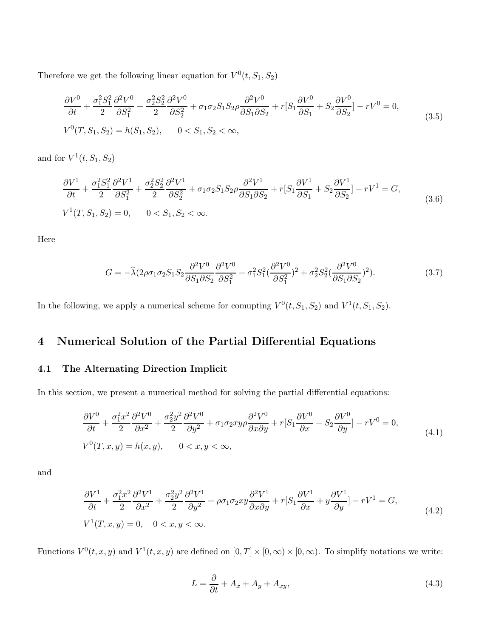Therefore we get the following linear equation for  $V^0(t, S_1, S_2)$ 

$$
\frac{\partial V^0}{\partial t} + \frac{\sigma_1^2 S_1^2}{2} \frac{\partial^2 V^0}{\partial S_1^2} + \frac{\sigma_2^2 S_2^2}{2} \frac{\partial^2 V^0}{\partial S_2^2} + \sigma_1 \sigma_2 S_1 S_2 \rho \frac{\partial^2 V^0}{\partial S_1 \partial S_2} + r[S_1 \frac{\partial V^0}{\partial S_1} + S_2 \frac{\partial V^0}{\partial S_2}] - rV^0 = 0,
$$
\n
$$
V^0(T, S_1, S_2) = h(S_1, S_2), \qquad 0 < S_1, S_2 < \infty,
$$
\n
$$
(3.5)
$$

and for  $V^1(t, S_1, S_2)$ 

$$
\frac{\partial V^1}{\partial t} + \frac{\sigma_1^2 S_1^2}{2} \frac{\partial^2 V^1}{\partial S_1^2} + \frac{\sigma_2^2 S_2^2}{2} \frac{\partial^2 V^1}{\partial S_2^2} + \sigma_1 \sigma_2 S_1 S_2 \rho \frac{\partial^2 V^1}{\partial S_1 \partial S_2} + r[S_1 \frac{\partial V^1}{\partial S_1} + S_2 \frac{\partial V^1}{\partial S_2}] - rV^1 = G,
$$
\n
$$
V^1(T, S_1, S_2) = 0, \qquad 0 < S_1, S_2 < \infty.
$$
\n
$$
(3.6)
$$

Here

$$
G = -\hat{\lambda}(2\rho\sigma_1\sigma_2S_1S_2\frac{\partial^2 V^0}{\partial S_1\partial S_2}\frac{\partial^2 V^0}{\partial S_1^2} + \sigma_1^2 S_1^2(\frac{\partial^2 V^0}{\partial S_1^2})^2 + \sigma_2^2 S_2^2(\frac{\partial^2 V^0}{\partial S_1\partial S_2})^2). \tag{3.7}
$$

<span id="page-5-0"></span>In the following, we apply a numerical scheme for comupting  $V^0(t, S_1, S_2)$  and  $V^1(t, S_1, S_2)$ .

## 4 Numerical Solution of the Partial Differential Equations

#### 4.1 The Alternating Direction Implicit

In this section, we present a numerical method for solving the partial differential equations:

$$
\frac{\partial V^0}{\partial t} + \frac{\sigma_1^2 x^2}{2} \frac{\partial^2 V^0}{\partial x^2} + \frac{\sigma_2^2 y^2}{2} \frac{\partial^2 V^0}{\partial y^2} + \sigma_1 \sigma_2 xy \rho \frac{\partial^2 V^0}{\partial x \partial y} + r[S_1 \frac{\partial V^0}{\partial x} + S_2 \frac{\partial V^0}{\partial y}] - rV^0 = 0,
$$
\n
$$
V^0(T, x, y) = h(x, y), \qquad 0 < x, y < \infty,
$$
\n
$$
(4.1)
$$

<span id="page-5-3"></span>and

$$
\frac{\partial V^1}{\partial t} + \frac{\sigma_1^2 x^2}{2} \frac{\partial^2 V^1}{\partial x^2} + \frac{\sigma_2^2 y^2}{2} \frac{\partial^2 V^1}{\partial y^2} + \rho \sigma_1 \sigma_2 xy \frac{\partial^2 V^1}{\partial x \partial y} + r[S_1 \frac{\partial V^1}{\partial x} + y \frac{\partial V^1}{\partial y}] - rV^1 = G,
$$
\n
$$
V^1(T, x, y) = 0, \quad 0 < x, y < \infty.
$$
\n
$$
(4.2)
$$

Functions  $V^0(t, x, y)$  and  $V^1(t, x, y)$  are defined on  $[0, T] \times [0, \infty) \times [0, \infty)$ . To simplify notations we write:

<span id="page-5-2"></span><span id="page-5-1"></span>
$$
L = \frac{\partial}{\partial t} + A_x + A_y + A_{xy},\tag{4.3}
$$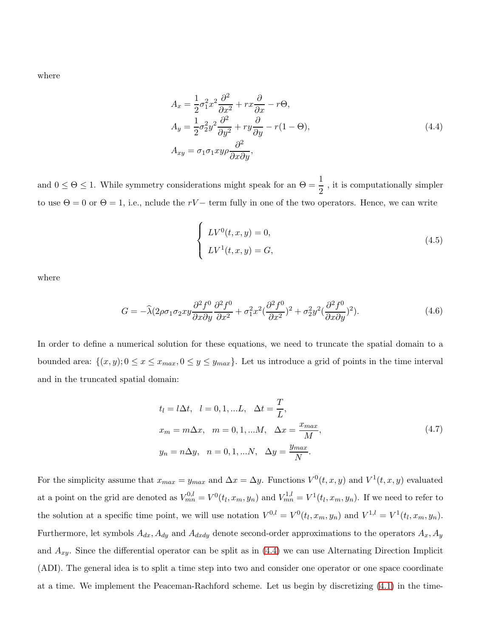<span id="page-6-0"></span>where

$$
A_x = \frac{1}{2}\sigma_1^2 x^2 \frac{\partial^2}{\partial x^2} + r x \frac{\partial}{\partial x} - r \Theta,
$$
  
\n
$$
A_y = \frac{1}{2}\sigma_2^2 y^2 \frac{\partial^2}{\partial y^2} + r y \frac{\partial}{\partial y} - r(1 - \Theta),
$$
  
\n
$$
A_{xy} = \sigma_1 \sigma_1 x y \rho \frac{\partial^2}{\partial x \partial y},
$$
\n(4.4)

and  $0 \le \Theta \le 1$ . While symmetry considerations might speak for an  $\Theta = \frac{1}{2}$ , it is computationally simpler to use  $\Theta = 0$  or  $\Theta = 1$ , i.e., nclude the rV – term fully in one of the two operators. Hence, we can write

$$
\begin{cases}\nLV^0(t,x,y) = 0, \\
LV^1(t,x,y) = G,\n\end{cases}
$$
\n(4.5)

where

$$
G = -\widehat{\lambda}(2\rho\sigma_1\sigma_2xy\frac{\partial^2 f^0}{\partial x\partial y}\frac{\partial^2 f^0}{\partial x^2} + \sigma_1^2x^2(\frac{\partial^2 f^0}{\partial x^2})^2 + \sigma_2^2y^2(\frac{\partial^2 f^0}{\partial x\partial y})^2). \tag{4.6}
$$

In order to define a numerical solution for these equations, we need to truncate the spatial domain to a bounded area:  $\{(x, y); 0 \le x \le x_{max}, 0 \le y \le y_{max}\}$ . Let us introduce a grid of points in the time interval and in the truncated spatial domain:

$$
t_l = l\Delta t, \quad l = 0, 1, ...L, \quad \Delta t = \frac{T}{L},
$$
  
\n
$$
x_m = m\Delta x, \quad m = 0, 1, ...M, \quad \Delta x = \frac{x_{max}}{M},
$$
  
\n
$$
y_n = n\Delta y, \quad n = 0, 1, ...N, \quad \Delta y = \frac{y_{max}}{N}.
$$
\n(4.7)

For the simplicity assume that  $x_{max} = y_{max}$  and  $\Delta x = \Delta y$ . Functions  $V^0(t, x, y)$  and  $V^1(t, x, y)$  evaluated at a point on the grid are denoted as  $V_{mn}^{0,l} = V^0(t_l, x_m, y_n)$  and  $V_{mn}^{1,l} = V^1(t_l, x_m, y_n)$ . If we need to refer to the solution at a specific time point, we will use notation  $V^{0,l} = V^0(t_l, x_m, y_n)$  and  $V^{1,l} = V^1(t_l, x_m, y_n)$ . Furthermore, let symbols  $A_{dx}$ ,  $A_{dy}$  and  $A_{dxdy}$  denote second-order approximations to the operators  $A_x$ ,  $A_y$ and  $A_{xy}$ . Since the differential operator can be split as in [\(4.4\)](#page-6-0) we can use Alternating Direction Implicit (ADI). The general idea is to split a time step into two and consider one operator or one space coordinate at a time. We implement the Peaceman-Rachford scheme. Let us begin by discretizing [\(4.1\)](#page-5-1) in the time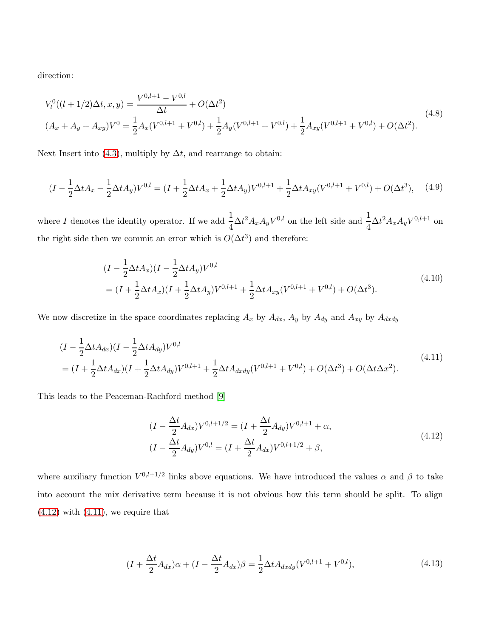direction:

$$
V_t^0((l+1/2)\Delta t, x, y) = \frac{V^{0,l+1} - V^{0,l}}{\Delta t} + O(\Delta t^2)
$$
  

$$
(A_x + A_y + A_{xy})V^0 = \frac{1}{2}A_x(V^{0,l+1} + V^{0,l}) + \frac{1}{2}A_y(V^{0,l+1} + V^{0,l}) + \frac{1}{2}A_{xy}(V^{0,l+1} + V^{0,l}) + O(\Delta t^2).
$$
 (4.8)

Next Insert into [\(4.3\)](#page-5-2), multiply by  $\Delta t$ , and rearrange to obtain:

$$
(I - \frac{1}{2}\Delta t A_x - \frac{1}{2}\Delta t A_y)V^{0,l} = (I + \frac{1}{2}\Delta t A_x + \frac{1}{2}\Delta t A_y)V^{0,l+1} + \frac{1}{2}\Delta t A_{xy}(V^{0,l+1} + V^{0,l}) + O(\Delta t^3), \quad (4.9)
$$

where I denotes the identity operator. If we add  $\frac{1}{4}\Delta t^2 A_x A_y V^{0,l}$  on the left side and  $\frac{1}{4}\Delta t^2 A_x A_y V^{0,l+1}$  on the right side then we commit an error which is  $O(\Delta t^3)$  and therefore:

$$
(I - \frac{1}{2}\Delta t A_x)(I - \frac{1}{2}\Delta t A_y)V^{0,l}
$$
  
=  $(I + \frac{1}{2}\Delta t A_x)(I + \frac{1}{2}\Delta t A_y)V^{0,l+1} + \frac{1}{2}\Delta t A_{xy}(V^{0,l+1} + V^{0,l}) + O(\Delta t^3).$  (4.10)

<span id="page-7-2"></span>We now discretize in the space coordinates replacing  $A_x$  by  $A_{dx}$ ,  $A_y$  by  $A_{dy}$  and  $A_{xy}$  by  $A_{dxdy}$ 

<span id="page-7-1"></span>
$$
(I - \frac{1}{2}\Delta t A_{dx})(I - \frac{1}{2}\Delta t A_{dy})V^{0,l}
$$
  
=  $(I + \frac{1}{2}\Delta t A_{dx})(I + \frac{1}{2}\Delta t A_{dy})V^{0,l+1} + \frac{1}{2}\Delta t A_{dxdy}(V^{0,l+1} + V^{0,l}) + O(\Delta t^3) + O(\Delta t \Delta x^2).$  (4.11)

<span id="page-7-0"></span>This leads to the Peaceman-Rachford method [\[9\]](#page-18-10)

$$
(I - \frac{\Delta t}{2} A_{dx}) V^{0,l+1/2} = (I + \frac{\Delta t}{2} A_{dy}) V^{0,l+1} + \alpha,
$$
  

$$
(I - \frac{\Delta t}{2} A_{dy}) V^{0,l} = (I + \frac{\Delta t}{2} A_{dx}) V^{0,l+1/2} + \beta,
$$
\n
$$
(4.12)
$$

where auxiliary function  $V^{0,l+1/2}$  links above equations. We have introduced the values  $\alpha$  and  $\beta$  to take into account the mix derivative term because it is not obvious how this term should be split. To align  $(4.12)$  with  $(4.11)$ , we require that

$$
(I + \frac{\Delta t}{2} A_{dx})\alpha + (I - \frac{\Delta t}{2} A_{dx})\beta = \frac{1}{2} \Delta t A_{dxdy} (V^{0,l+1} + V^{0,l}),
$$
\n(4.13)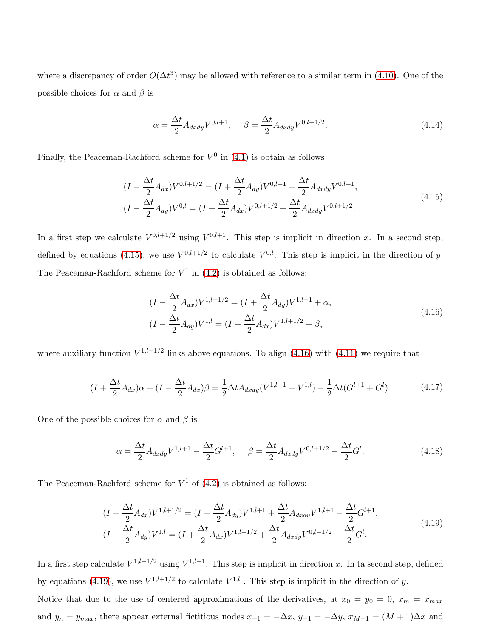where a discrepancy of order  $O(\Delta t^3)$  may be allowed with reference to a similar term in [\(4.10\)](#page-7-2). One of the possible choices for  $\alpha$  and  $\beta$  is

$$
\alpha = \frac{\Delta t}{2} A_{dxdy} V^{0,l+1}, \quad \beta = \frac{\Delta t}{2} A_{dxdy} V^{0,l+1/2}.
$$
\n(4.14)

<span id="page-8-0"></span>Finally, the Peaceman-Rachford scheme for  $V^0$  in [\(4.1\)](#page-5-1) is obtain as follows

$$
(I - \frac{\Delta t}{2} A_{dx}) V^{0,l+1/2} = (I + \frac{\Delta t}{2} A_{dy}) V^{0,l+1} + \frac{\Delta t}{2} A_{dxdy} V^{0,l+1},
$$
  

$$
(I - \frac{\Delta t}{2} A_{dy}) V^{0,l} = (I + \frac{\Delta t}{2} A_{dx}) V^{0,l+1/2} + \frac{\Delta t}{2} A_{dxdy} V^{0,l+1/2}.
$$
 (4.15)

In a first step we calculate  $V^{0,l+1/2}$  using  $V^{0,l+1}$ . This step is implicit in direction x. In a second step, defined by equations [\(4.15\)](#page-8-0), we use  $V^{0,l+1/2}$  to calculate  $V^{0,l}$ . This step is implicit in the direction of y. The Peaceman-Rachford scheme for  $V^1$  in [\(4.2\)](#page-5-3) is obtained as follows:

$$
(I - \frac{\Delta t}{2} A_{dx}) V^{1,l+1/2} = (I + \frac{\Delta t}{2} A_{dy}) V^{1,l+1} + \alpha,
$$
  
\n
$$
(I - \frac{\Delta t}{2} A_{dy}) V^{1,l} = (I + \frac{\Delta t}{2} A_{dx}) V^{1,l+1/2} + \beta,
$$
\n(4.16)

<span id="page-8-1"></span>where auxiliary function  $V^{1,l+1/2}$  links above equations. To align [\(4.16\)](#page-8-1) with [\(4.11\)](#page-7-1) we require that

$$
(I + \frac{\Delta t}{2} A_{dx})\alpha + (I - \frac{\Delta t}{2} A_{dx})\beta = \frac{1}{2} \Delta t A_{dxdy}(V^{1,l+1} + V^{1,l}) - \frac{1}{2} \Delta t (G^{l+1} + G^l). \tag{4.17}
$$

One of the possible choices for  $\alpha$  and  $\beta$  is

$$
\alpha = \frac{\Delta t}{2} A_{dxdy} V^{1,l+1} - \frac{\Delta t}{2} G^{l+1}, \quad \beta = \frac{\Delta t}{2} A_{dxdy} V^{0,l+1/2} - \frac{\Delta t}{2} G^l.
$$
\n(4.18)

<span id="page-8-2"></span>The Peaceman-Rachford scheme for  $V^1$  of  $(4.2)$  is obtained as follows:

$$
(I - \frac{\Delta t}{2} A_{dx}) V^{1,l+1/2} = (I + \frac{\Delta t}{2} A_{dy}) V^{1,l+1} + \frac{\Delta t}{2} A_{dxdy} V^{1,l+1} - \frac{\Delta t}{2} G^{l+1},
$$
  

$$
(I - \frac{\Delta t}{2} A_{dy}) V^{1,l} = (I + \frac{\Delta t}{2} A_{dx}) V^{1,l+1/2} + \frac{\Delta t}{2} A_{dxdy} V^{0,l+1/2} - \frac{\Delta t}{2} G^{l}. \tag{4.19}
$$

In a first step calculate  $V^{1,l+1/2}$  using  $V^{1,l+1}$ . This step is implicit in direction x. In ta second step, defined by equations [\(4.19\)](#page-8-2), we use  $V^{1,l+1/2}$  to calculate  $V^{1,l}$ . This step is implicit in the direction of y.

Notice that due to the use of centered approximations of the derivatives, at  $x_0 = y_0 = 0$ ,  $x_m = x_{max}$ and  $y_n = y_{max}$ , there appear external fictitious nodes  $x_{-1} = -\Delta x$ ,  $y_{-1} = -\Delta y$ ,  $x_{M+1} = (M+1)\Delta x$  and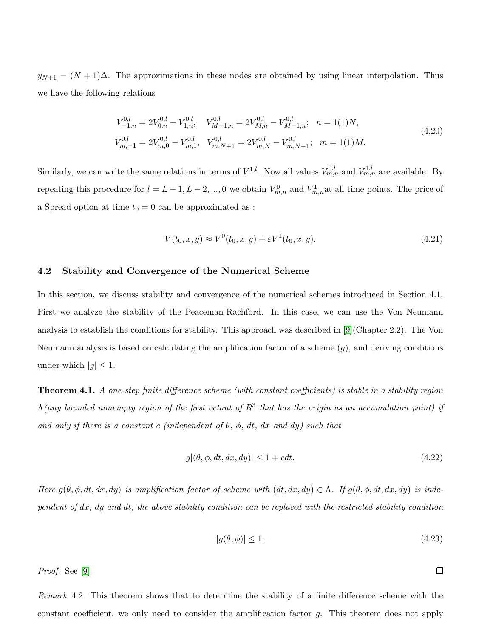$y_{N+1} = (N+1)\Delta$ . The approximations in these nodes are obtained by using linear interpolation. Thus we have the following relations

$$
V_{-1,n}^{0,l} = 2V_{0,n}^{0,l} - V_{1,n}^{0,l}, \t V_{M+1,n}^{0,l} = 2V_{M,n}^{0,l} - V_{M-1,n}^{0,l}; \t n = 1(1)N,
$$
  
\n
$$
V_{m,-1}^{0,l} = 2V_{m,0}^{0,l} - V_{m,1}^{0,l}, \t V_{m,N+1}^{0,l} = 2V_{m,N}^{0,l} - V_{m,N-1}^{0,l}; \t m = 1(1)M.
$$
\n(4.20)

Similarly, we can write the same relations in terms of  $V^{1,l}$ . Now all values  $V^{0,l}_{m,n}$  and  $V^{1,l}_{m,n}$  are available. By repeating this procedure for  $l = L - 1, L - 2, ..., 0$  we obtain  $V_{m,n}^0$  and  $V_{m,n}^1$  at all time points. The price of a Spread option at time  $t_0 = 0$  can be approximated as :

$$
V(t_0, x, y) \approx V^0(t_0, x, y) + \varepsilon V^1(t_0, x, y). \tag{4.21}
$$

#### 4.2 Stability and Convergence of the Numerical Scheme

In this section, we discuss stability and convergence of the numerical schemes introduced in Section 4.1. First we analyze the stability of the Peaceman-Rachford. In this case, we can use the Von Neumann analysis to establish the conditions for stability. This approach was described in [\[9\]](#page-18-10)(Chapter 2.2). The Von Neumann analysis is based on calculating the amplification factor of a scheme  $(g)$ , and deriving conditions under which  $|q| \leq 1$ .

Theorem 4.1. A one-step finite difference scheme (with constant coefficients) is stable in a stability region  $\Lambda($ any bounded nonempty region of the first octant of  $R^3$  that has the origin as an accumulation point) if and only if there is a constant c (independent of  $\theta$ ,  $\phi$ , dt, dx and dy) such that

$$
g|(\theta, \phi, dt, dx, dy)| \le 1 + cdt. \tag{4.22}
$$

Here  $g(\theta, \phi, dt, dx, dy)$  is amplification factor of scheme with  $(dt, dx, dy) \in \Lambda$ . If  $g(\theta, \phi, dt, dx, dy)$  is independent of dx, dy and dt, the above stability condition can be replaced with the restricted stability condition

$$
|g(\theta,\phi)| \le 1. \tag{4.23}
$$

 $\Box$ 

Proof. See [\[9\]](#page-18-10).

Remark 4.2. This theorem shows that to determine the stability of a finite difference scheme with the constant coefficient, we only need to consider the amplification factor g. This theorem does not apply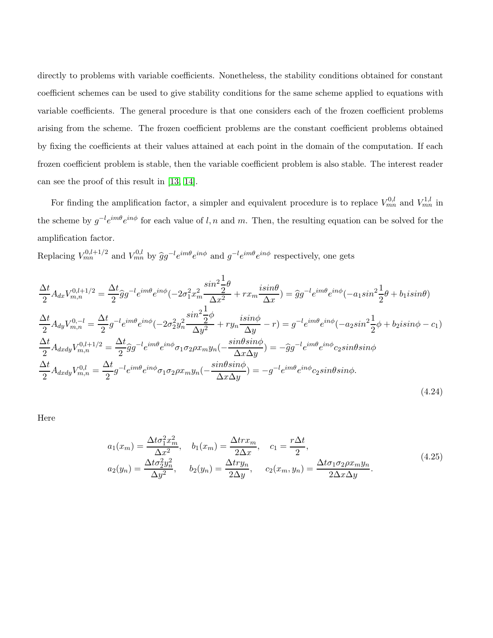directly to problems with variable coefficients. Nonetheless, the stability conditions obtained for constant coefficient schemes can be used to give stability conditions for the same scheme applied to equations with variable coefficients. The general procedure is that one considers each of the frozen coefficient problems arising from the scheme. The frozen coefficient problems are the constant coefficient problems obtained by fixing the coefficients at their values attained at each point in the domain of the computation. If each frozen coefficient problem is stable, then the variable coefficient problem is also stable. The interest reader can see the proof of this result in [\[13,](#page-18-11) [14\]](#page-18-12).

For finding the amplification factor, a simpler and equivalent procedure is to replace  $V_{mn}^{0,l}$  and  $V_{mn}^{1,l}$  in the scheme by  $g^{-l}e^{im\theta}e^{in\phi}$  for each value of l, n and m. Then, the resulting equation can be solved for the amplification factor.

Replacing  $V_{mn}^{0,l+1/2}$  and  $V_{mn}^{0,l}$  by  $\hat{g}g^{-l}e^{im\theta}e^{in\phi}$  and  $g^{-l}e^{im\theta}e^{in\phi}$  respectively, one gets

$$
\frac{\Delta t}{2} A_{dx} V_{m,n}^{0,l+1/2} = \frac{\Delta t}{2} \hat{g} g^{-l} e^{im\theta} e^{in\phi} (-2\sigma_1^2 x_m^2 \frac{\sin^2 \frac{1}{2}\theta}{\Delta x^2} + rx_m \frac{i\sin\theta}{\Delta x}) = \hat{g} g^{-l} e^{im\theta} e^{in\phi} (-a_1 \sin^2 \frac{1}{2}\theta + b_1 i \sin\theta)
$$
\n
$$
\frac{\Delta t}{2} A_{dy} V_{m,n}^{0,-l} = \frac{\Delta t}{2} g^{-l} e^{im\theta} e^{in\phi} (-2\sigma_2^2 y_n^2 \frac{\sin^2 \frac{1}{2}\phi}{\Delta y^2} + ry_n \frac{i\sin\phi}{\Delta y} - r) = g^{-l} e^{im\theta} e^{in\phi} (-a_2 \sin^2 \frac{1}{2}\phi + b_2 i \sin\phi - c_1)
$$
\n
$$
\frac{\Delta t}{2} A_{dxdy} V_{m,n}^{0,l+1/2} = \frac{\Delta t}{2} \hat{g} g^{-l} e^{im\theta} e^{in\phi} \sigma_1 \sigma_2 \rho x_m y_n (-\frac{\sin\theta \sin\phi}{\Delta x \Delta y}) = -\hat{g} g^{-l} e^{im\theta} e^{in\phi} c_2 \sin\theta \sin\phi
$$
\n
$$
\frac{\Delta t}{2} A_{dxdy} V_{m,n}^{0,l} = \frac{\Delta t}{2} g^{-l} e^{im\theta} e^{in\phi} \sigma_1 \sigma_2 \rho x_m y_n (-\frac{\sin\theta \sin\phi}{\Delta x \Delta y}) = -g^{-l} e^{im\theta} e^{in\phi} c_2 \sin\theta \sin\phi.
$$
\n(4.24)

<span id="page-10-0"></span>Here

$$
a_1(x_m) = \frac{\Delta t \sigma_1^2 x_m^2}{\Delta x^2}, \quad b_1(x_m) = \frac{\Delta t r x_m}{2\Delta x}, \quad c_1 = \frac{r \Delta t}{2},
$$
  
\n
$$
a_2(y_n) = \frac{\Delta t \sigma_2^2 y_n^2}{\Delta y^2}, \quad b_2(y_n) = \frac{\Delta t r y_n}{2\Delta y}, \quad c_2(x_m, y_n) = \frac{\Delta t \sigma_1 \sigma_2 \rho x_m y_n}{2\Delta x \Delta y}.
$$
\n(4.25)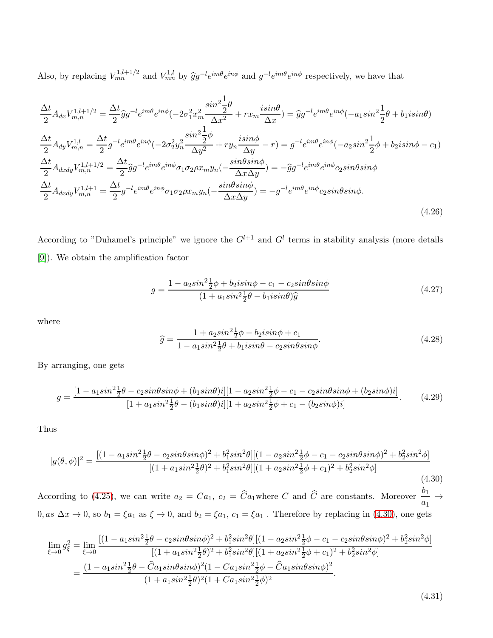Also, by replacing  $V_{mn}^{1,l+1/2}$  and  $V_{mn}^{1,l}$  by  $\hat{g}g^{-l}e^{im\theta}e^{in\phi}$  and  $g^{-l}e^{im\theta}e^{in\phi}$  respectively, we have that

$$
\frac{\Delta t}{2} A_{dx} V_{m,n}^{1,l+1/2} = \frac{\Delta t}{2} \hat{g} g^{-l} e^{im\theta} e^{in\phi} (-2\sigma_1^2 x_m^2 \frac{\sin^2 \frac{1}{2}\theta}{\Delta x^2} + r x_m \frac{i \sin \theta}{\Delta x}) = \hat{g} g^{-l} e^{im\theta} e^{in\phi} (-a_1 \sin^2 \frac{1}{2}\theta + b_1 i \sin \theta)
$$
\n
$$
\frac{\Delta t}{2} A_{dy} V_{m,n}^{1,l} = \frac{\Delta t}{2} g^{-l} e^{im\theta} e^{in\phi} (-2\sigma_2^2 y_n^2 \frac{\sin^2 \frac{1}{2}\phi}{\Delta y^2} + r y_n \frac{i \sin \phi}{\Delta y} - r) = g^{-l} e^{im\theta} e^{in\phi} (-a_2 \sin^2 \frac{1}{2}\phi + b_2 i \sin \phi - c_1)
$$
\n
$$
\frac{\Delta t}{2} A_{dxdy} V_{m,n}^{1,l+1/2} = \frac{\Delta t}{2} \hat{g} g^{-l} e^{im\theta} e^{in\phi} \sigma_1 \sigma_2 \rho x_m y_n (-\frac{\sin \theta \sin \phi}{\Delta x \Delta y}) = -\hat{g} g^{-l} e^{im\theta} e^{in\phi} c_2 \sin \theta \sin \phi
$$
\n
$$
\frac{\Delta t}{2} A_{dxdy} V_{m,n}^{1,l+1} = \frac{\Delta t}{2} g^{-l} e^{im\theta} e^{in\phi} \sigma_1 \sigma_2 \rho x_m y_n (-\frac{\sin \theta \sin \phi}{\Delta x \Delta y}) = -g^{-l} e^{im\theta} e^{in\phi} c_2 \sin \theta \sin \phi.
$$
\n(4.26)

According to "Duhamel's principle" we ignore the  $G^{l+1}$  and  $G^l$  terms in stability analysis (more details [\[9\]](#page-18-10)). We obtain the amplification factor

$$
g = \frac{1 - a_2 \sin^2 \frac{1}{2}\phi + b_2 i \sin \phi - c_1 - c_2 \sin \theta \sin \phi}{(1 + a_1 \sin^2 \frac{1}{2}\theta - b_1 i \sin \theta)\hat{g}}
$$
(4.27)

where

$$
\hat{g} = \frac{1 + a_2 \sin^2 \frac{1}{2}\phi - b_2 i \sin \phi + c_1}{1 - a_1 \sin^2 \frac{1}{2}\theta + b_1 i \sin \theta - c_2 \sin \theta \sin \phi}.
$$
\n(4.28)

By arranging, one gets

$$
g = \frac{[1 - a_1 \sin^2 \frac{1}{2}\theta - c_2 \sin\theta \sin\phi + (b_1 \sin\theta)i][1 - a_2 \sin^2 \frac{1}{2}\phi - c_1 - c_2 \sin\theta \sin\phi + (b_2 \sin\phi)i]}{[1 + a_1 \sin^2 \frac{1}{2}\theta - (b_1 \sin\theta)i][1 + a_2 \sin^2 \frac{1}{2}\phi + c_1 - (b_2 \sin\phi)i]}.
$$
(4.29)

Thus

<span id="page-11-0"></span>
$$
|g(\theta,\phi)|^2 = \frac{[(1-a_1sin^2\frac{1}{2}\theta - c_2sin\theta sin\phi)^2 + b_1^2sin^2\theta][(1-a_2sin^2\frac{1}{2}\phi - c_1 - c_2sin\theta sin\phi)^2 + b_2^2sin^2\phi]}{[(1+a_1sin^2\frac{1}{2}\theta)^2 + b_1^2sin^2\theta][(1+a_2sin^2\frac{1}{2}\phi + c_1)^2 + b_2^2sin^2\phi]}
$$
(4.30)

According to [\(4.25\)](#page-10-0), we can write  $a_2 = Ca_1$ ,  $c_2 = \hat{C}a_1$  where C and  $\hat{C}$  are constants. Moreover  $\frac{b_1}{a_1} \rightarrow$  $0, as \Delta x \to 0$ , so  $b_1 = \xi a_1$  as  $\xi \to 0$ , and  $b_2 = \xi a_1$ ,  $c_1 = \xi a_1$ . Therefore by replacing in [\(4.30\)](#page-11-0), one gets

$$
\lim_{\xi \to 0} g_{\xi}^{2} = \lim_{\xi \to 0} \frac{\left[ (1 - a_{1}sin^{2} \frac{1}{2} \theta - c_{2}sin\theta sin\phi)^{2} + b_{1}^{2}sin^{2}\theta \right] \left[ (1 - a_{2}sin^{2} \frac{1}{2} \phi - c_{1} - c_{2}sin\theta sin\phi)^{2} + b_{2}^{2}sin^{2}\phi \right]}{\left[ (1 + a_{1}sin^{2} \frac{1}{2} \theta)^{2} + b_{1}^{2}sin^{2}\theta \right] \left[ (1 + a_{2}sin^{2} \frac{1}{2} \phi + c_{1})^{2} + b_{2}^{2}sin^{2}\phi \right]}
$$
\n
$$
= \frac{(1 - a_{1}sin^{2} \frac{1}{2} \theta - \hat{C}a_{1}sin\theta sin\phi)^{2} (1 - Ca_{1}sin^{2} \frac{1}{2} \phi - \hat{C}a_{1}sin\theta sin\phi)^{2}}{(1 + a_{1}sin^{2} \frac{1}{2} \theta)^{2} (1 + Ca_{1}sin^{2} \frac{1}{2} \phi)^{2}}.
$$

(4.31)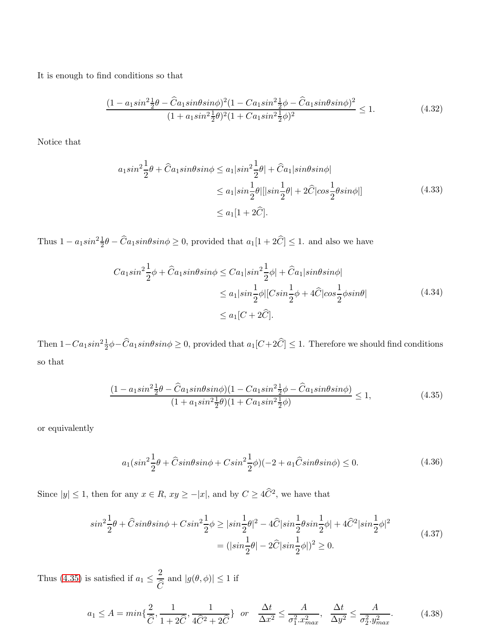It is enough to find conditions so that

$$
\frac{(1 - a_1 \sin^2 \frac{1}{2}\theta - \hat{C}a_1 \sin \theta \sin \phi)^2 (1 - \hat{C}a_1 \sin^2 \frac{1}{2}\phi - \hat{C}a_1 \sin \theta \sin \phi)^2}{(1 + a_1 \sin^2 \frac{1}{2}\theta)^2 (1 + \hat{C}a_1 \sin^2 \frac{1}{2}\phi)^2} \le 1.
$$
\n(4.32)

Notice that

$$
a_1 sin^2 \frac{1}{2} \theta + \widehat{C} a_1 sin \theta sin \phi \le a_1 |sin^2 \frac{1}{2} \theta| + \widehat{C} a_1 |sin \theta sin \phi|
$$
  

$$
\le a_1 |sin \frac{1}{2} \theta| |sin \frac{1}{2} \theta| + 2\widehat{C} |cos \frac{1}{2} \theta sin \phi|]
$$
(4.33)  

$$
\le a_1 [1 + 2\widehat{C}].
$$

Thus  $1 - a_1 sin^2 \frac{1}{2}\theta - \hat{C}a_1 sin\theta sin\phi \ge 0$ , provided that  $a_1[1 + 2\hat{C}] \le 1$ . and also we have

$$
Ca_1 sin^2 \frac{1}{2}\phi + \hat{C}a_1 sin\theta sin\phi \le Ca_1 |sin^2 \frac{1}{2}\phi| + \hat{C}a_1 |sin\theta sin\phi|
$$
  

$$
\le a_1 |sin \frac{1}{2}\phi| |C sin \frac{1}{2}\phi + 4\hat{C} |cos \frac{1}{2}\phi sin\theta|
$$
  

$$
\le a_1 [C + 2\hat{C}].
$$
 (4.34)

Then  $1-Ca_1sin^2\frac{1}{2}\phi-\widehat{C}a_1sin\theta sin\phi \geq 0$ , provided that  $a_1[C+2\widehat{C}] \leq 1$ . Therefore we should find conditions so that

$$
\frac{(1 - a_1 \sin^2 \frac{1}{2}\theta - \hat{C}a_1 \sin \theta \sin \phi)(1 - \hat{C}a_1 \sin^2 \frac{1}{2}\phi - \hat{C}a_1 \sin \theta \sin \phi)}{(1 + a_1 \sin^2 \frac{1}{2}\theta)(1 + \hat{C}a_1 \sin^2 \frac{1}{2}\phi)} \le 1,
$$
\n(4.35)

<span id="page-12-0"></span>or equivalently

$$
a_1(\sin^2\frac{1}{2}\theta + \hat{C}\sin\theta\sin\phi + C\sin^2\frac{1}{2}\phi)(-2 + a_1\hat{C}\sin\theta\sin\phi) \le 0.
$$
 (4.36)

Since  $|y| \le 1$ , then for any  $x \in R$ ,  $xy \ge -|x|$ , and by  $C \ge 4\widehat{C}^2$ , we have that

$$
\sin^2\frac{1}{2}\theta + \widehat{C}\sin\theta\sin\phi + C\sin^2\frac{1}{2}\phi \ge |\sin\frac{1}{2}\theta|^2 - 4\widehat{C}|\sin\frac{1}{2}\theta\sin\frac{1}{2}\phi| + 4\widehat{C}^2|\sin\frac{1}{2}\phi|^2
$$
  
= 
$$
(|\sin\frac{1}{2}\theta| - 2\widehat{C}|\sin\frac{1}{2}\phi|)^2 \ge 0.
$$
 (4.37)

Thus [\(4.35\)](#page-12-0) is satisfied if  $a_1 \n\leq \frac{2}{6}$  $\mathcal{C}_{\mathcal{A}}$ and  $|g(\theta, \phi)| \leq 1$  if

$$
a_1 \le A = \min\{\frac{2}{\widehat{C}}, \frac{1}{1+2\widehat{C}}, \frac{1}{4\widehat{C}^2+2\widehat{C}}\} \quad or \quad \frac{\Delta t}{\Delta x^2} \le \frac{A}{\sigma_1^2 x_{\max}^2}, \quad \frac{\Delta t}{\Delta y^2} \le \frac{A}{\sigma_2^2 y_{\max}^2}.\tag{4.38}
$$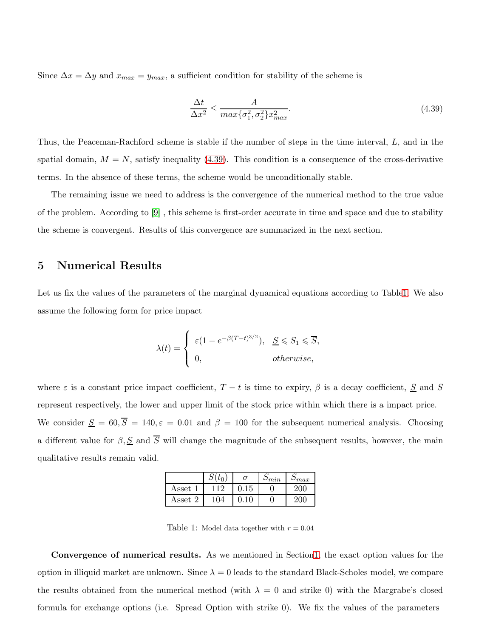<span id="page-13-1"></span>Since  $\Delta x = \Delta y$  and  $x_{max} = y_{max}$ , a sufficient condition for stability of the scheme is

$$
\frac{\Delta t}{\Delta x^2} \le \frac{A}{\max\{\sigma_1^2, \sigma_2^2\} x_{\max}^2}.\tag{4.39}
$$

Thus, the Peaceman-Rachford scheme is stable if the number of steps in the time interval, L, and in the spatial domain,  $M = N$ , satisfy inequality [\(4.39\)](#page-13-1). This condition is a consequence of the cross-derivative terms. In the absence of these terms, the scheme would be unconditionally stable.

The remaining issue we need to address is the convergence of the numerical method to the true value of the problem. According to [\[9\]](#page-18-10) , this scheme is first-order accurate in time and space and due to stability the scheme is convergent. Results of this convergence are summarized in the next section.

#### <span id="page-13-0"></span>5 Numerical Results

Let us fix the values of the parameters of the marginal dynamical equations according to Tabl[e1.](#page-13-2) We also assume the following form for price impact

$$
\lambda(t) = \begin{cases} \varepsilon (1 - e^{-\beta(T - t)^{3/2}}), & \underline{S} \leq S_1 \leq \overline{S}, \\ 0, & otherwise, \end{cases}
$$

where  $\varepsilon$  is a constant price impact coefficient,  $T - t$  is time to expiry,  $\beta$  is a decay coefficient,  $\underline{S}$  and  $\overline{S}$ represent respectively, the lower and upper limit of the stock price within which there is a impact price. We consider  $\underline{S} = 60, \overline{S} = 140, \varepsilon = 0.01$  and  $\beta = 100$  for the subsequent numerical analysis. Choosing a different value for  $\beta, \underline{S}$  and  $\overline{S}$  will change the magnitude of the subsequent results, however, the main qualitative results remain valid.

|                           |     | σ  | $\mathcal{D}_{min}$ | $\mathcal{D}_{max}$ |
|---------------------------|-----|----|---------------------|---------------------|
| $\operatorname{Asset}$    | 1 ດ | 15 |                     | м                   |
| $\operatorname{Asset}\,2$ | 104 | 10 |                     |                     |

<span id="page-13-2"></span>Table 1: Model data together with  $r = 0.04$ 

Convergence of numerical results. As we mentioned in Sectio[n1,](#page-0-0) the exact option values for the option in illiquid market are unknown. Since  $\lambda = 0$  leads to the standard Black-Scholes model, we compare the results obtained from the numerical method (with  $\lambda = 0$  and strike 0) with the Margrabe's closed formula for exchange options (i.e. Spread Option with strike 0). We fix the values of the parameters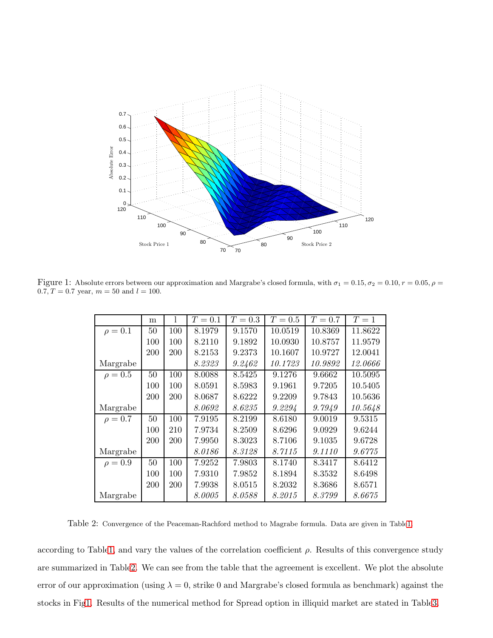

Figure 1: Absolute errors between our approximation and Margrabe's closed formula, with  $\sigma_1 = 0.15$ ,  $\sigma_2 = 0.10$ ,  $r = 0.05$ ,  $\rho =$ 0.7,  $T = 0.7$  year,  $m = 50$  and  $l = 100$ .

<span id="page-14-1"></span>

|              |     |     | $T=0.1$ | $T=0.3$ | $T=0.5$ | $T=0.7$ | $T=1$   |
|--------------|-----|-----|---------|---------|---------|---------|---------|
|              | m   |     |         |         |         |         |         |
| $\rho = 0.1$ | 50  | 100 | 8.1979  | 9.1570  | 10.0519 | 10.8369 | 11.8622 |
|              | 100 | 100 | 8.2110  | 9.1892  | 10.0930 | 10.8757 | 11.9579 |
|              | 200 | 200 | 8.2153  | 9.2373  | 10.1607 | 10.9727 | 12.0041 |
| Margrabe     |     |     | 8.2323  | 9.2462  | 10.1723 | 10.9892 | 12.0666 |
| $\rho = 0.5$ | 50  | 100 | 8.0088  | 8.5425  | 9.1276  | 9.6662  | 10.5095 |
|              | 100 | 100 | 8.0591  | 8.5983  | 9.1961  | 9.7205  | 10.5405 |
|              | 200 | 200 | 8.0687  | 8.6222  | 9.2209  | 9.7843  | 10.5636 |
| Margrabe     |     |     | 8.0692  | 8.6235  | 9.2294  | 9.7949  | 10.5648 |
| $\rho = 0.7$ | 50  | 100 | 7.9195  | 8.2199  | 8.6180  | 9.0019  | 9.5315  |
|              | 100 | 210 | 7.9734  | 8.2509  | 8.6296  | 9.0929  | 9.6244  |
|              | 200 | 200 | 7.9950  | 8.3023  | 8.7106  | 9.1035  | 9.6728  |
| Margrabe     |     |     | 8.0186  | 8.3128  | 8.7115  | 9.1110  | 9.6775  |
| $\rho = 0.9$ | 50  | 100 | 7.9252  | 7.9803  | 8.1740  | 8.3417  | 8.6412  |
|              | 100 | 100 | 7.9310  | 7.9852  | 8.1894  | 8.3532  | 8.6498  |
|              | 200 | 200 | 7.9938  | 8.0515  | 8.2032  | 8.3686  | 8.6571  |
| Margrabe     |     |     | 8.0005  | 8.0588  | 8.2015  | 8.3799  | 8.6675  |

<span id="page-14-0"></span>Table 2: Convergence of the Peaceman-Rachford method to Magrabe formula. Data are given in Tabl[e1.](#page-13-2)

according to Tabl[e1,](#page-13-2) and vary the values of the correlation coefficient  $\rho$ . Results of this convergence study are summarized in Tabl[e2.](#page-14-0) We can see from the table that the agreement is excellent. We plot the absolute error of our approximation (using  $\lambda = 0$ , strike 0 and Margrabe's closed formula as benchmark) against the stocks in Fi[g1.](#page-14-1) Results of the numerical method for Spread option in illiquid market are stated in Tabl[e3.](#page-15-0)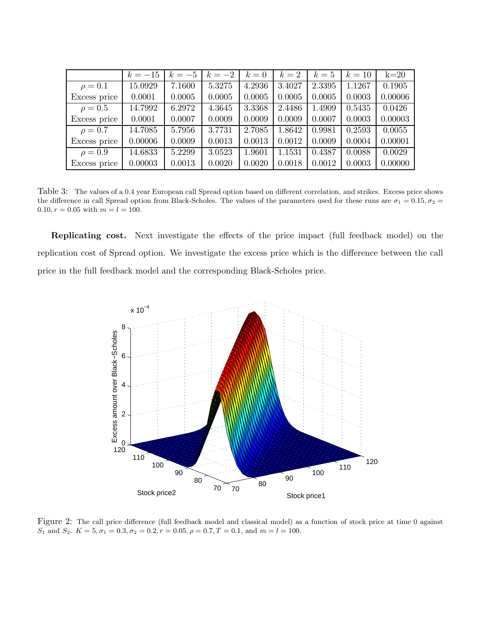|              | $k = -15$ | $k=-5$ | $k=-2$ | $k=0$  | $k=2$  | $k=5$  | $k=10$ | $k=20$  |
|--------------|-----------|--------|--------|--------|--------|--------|--------|---------|
| $\rho = 0.1$ | 15.0929   | 7.1600 | 5.3275 | 4.2936 | 3.4027 | 2.3395 | 1.1267 | 0.1905  |
| Excess price | 0.0001    | 0.0005 | 0.0005 | 0.0005 | 0.0005 | 0.0005 | 0.0003 | 0.00006 |
| $\rho = 0.5$ | 14.7992   | 6.2972 | 4.3645 | 3.3368 | 2.4486 | 1.4909 | 0.5435 | 0.0426  |
| Excess price | 0.0001    | 0.0007 | 0.0009 | 0.0009 | 0.0009 | 0.0007 | 0.0003 | 0.00003 |
| $\rho = 0.7$ | 14.7085   | 5.7956 | 3.7731 | 2.7085 | 1.8642 | 0.9981 | 0.2593 | 0.0055  |
| Excess price | 0.00006   | 0.0009 | 0.0013 | 0.0013 | 0.0012 | 0.0009 | 0.0004 | 0.00001 |
| $\rho = 0.9$ | 14.6833   | 5.2299 | 3.0523 | 1.9601 | 1.1531 | 0.4387 | 0.0088 | 0.0029  |
| Excess price | 0.00003   | 0.0013 | 0.0020 | 0.0020 | 0.0018 | 0.0012 | 0.0003 | 0.00000 |

<span id="page-15-0"></span>Table 3: The values of a 0.4 year European call Spread option based on different correlation, and strikes. Excess price shows the difference in call Spread option from Black-Scholes. The values of the parameters used for these runs are  $\sigma_1 = 0.15, \sigma_2 =$ 0.10,  $r = 0.05$  with  $m = l = 100$ .

Replicating cost. Next investigate the effects of the price impact (full feedback model) on the replication cost of Spread option. We investigate the excess price which is the difference between the call price in the full feedback model and the corresponding Black-Scholes price.



Figure 2: The call price difference (full feedback model and classical model) as a function of stock price at time 0 against  $S_1$  and  $S_2$ .  $K = 5, \sigma_1 = 0.3, \sigma_2 = 0.2, r = 0.05, \rho = 0.7, T = 0.1, \text{ and } m = l = 100.$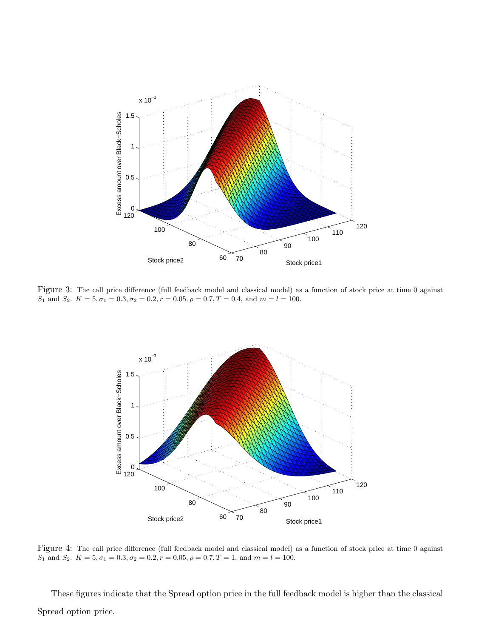

Figure 3: The call price difference (full feedback model and classical model) as a function of stock price at time 0 against  $S_1$  and  $S_2$ .  $K = 5, \sigma_1 = 0.3, \sigma_2 = 0.2, r = 0.05, \rho = 0.7, T = 0.4,$  and  $m = l = 100$ .



Figure 4: The call price difference (full feedback model and classical model) as a function of stock price at time 0 against  $S_1$  and  $S_2$ .  $K = 5, \sigma_1 = 0.3, \sigma_2 = 0.2, r = 0.05, \rho = 0.7, T = 1, \text{ and } m = l = 100.$ 

These figures indicate that the Spread option price in the full feedback model is higher than the classical Spread option price.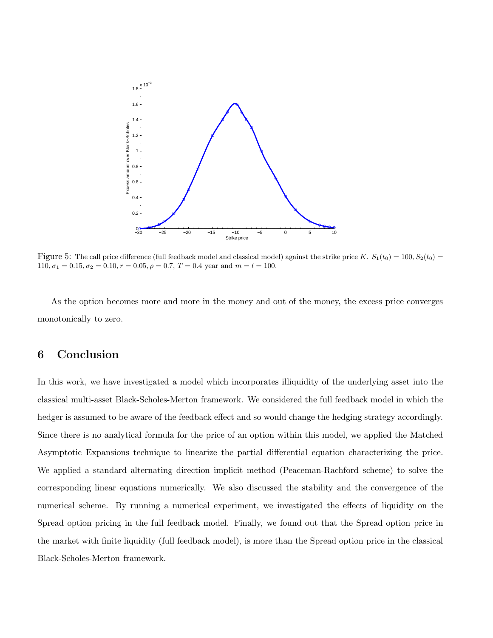

Figure 5: The call price difference (full feedback model and classical model) against the strike price K.  $S_1(t_0) = 100, S_2(t_0) =$  $110, \sigma_1 = 0.15, \sigma_2 = 0.10, r = 0.05, \rho = 0.7, T = 0.4$  year and  $m = l = 100$ .

<span id="page-17-0"></span>As the option becomes more and more in the money and out of the money, the excess price converges monotonically to zero.

### 6 Conclusion

In this work, we have investigated a model which incorporates illiquidity of the underlying asset into the classical multi-asset Black-Scholes-Merton framework. We considered the full feedback model in which the hedger is assumed to be aware of the feedback effect and so would change the hedging strategy accordingly. Since there is no analytical formula for the price of an option within this model, we applied the Matched Asymptotic Expansions technique to linearize the partial differential equation characterizing the price. We applied a standard alternating direction implicit method (Peaceman-Rachford scheme) to solve the corresponding linear equations numerically. We also discussed the stability and the convergence of the numerical scheme. By running a numerical experiment, we investigated the effects of liquidity on the Spread option pricing in the full feedback model. Finally, we found out that the Spread option price in the market with finite liquidity (full feedback model), is more than the Spread option price in the classical Black-Scholes-Merton framework.